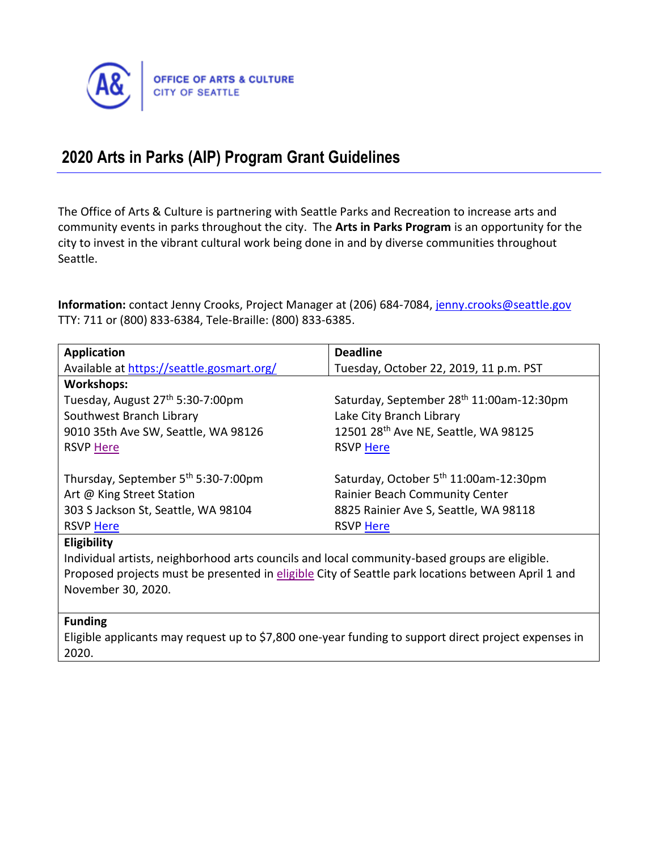

# **2020 Arts in Parks (AIP) Program Grant Guidelines**

The Office of Arts & Culture is partnering with Seattle Parks and Recreation to increase arts and community events in parks throughout the city. The **Arts in Parks Program** is an opportunity for the city to invest in the vibrant cultural work being done in and by diverse communities throughout Seattle.

Information: contact Jenny Crooks, Project Manager at (206) 684-7084, [jenny.crooks@seattle.gov](mailto:jenny.crooks@seattle.gov) TTY: 711 or (800) 833-6384, Tele-Braille: (800) 833-6385.

| <b>Application</b>                                                                                 | <b>Deadline</b>                                   |  |
|----------------------------------------------------------------------------------------------------|---------------------------------------------------|--|
| Available at https://seattle.gosmart.org/                                                          | Tuesday, October 22, 2019, 11 p.m. PST            |  |
| <b>Workshops:</b>                                                                                  |                                                   |  |
| Tuesday, August 27 <sup>th</sup> 5:30-7:00pm                                                       | Saturday, September 28th 11:00am-12:30pm          |  |
| Southwest Branch Library                                                                           | Lake City Branch Library                          |  |
| 9010 35th Ave SW, Seattle, WA 98126                                                                | 12501 28th Ave NE, Seattle, WA 98125              |  |
| <b>RSVP Here</b>                                                                                   | <b>RSVP Here</b>                                  |  |
|                                                                                                    |                                                   |  |
| Thursday, September 5 <sup>th</sup> 5:30-7:00pm                                                    | Saturday, October 5 <sup>th</sup> 11:00am-12:30pm |  |
| Art @ King Street Station                                                                          | <b>Rainier Beach Community Center</b>             |  |
| 303 S Jackson St, Seattle, WA 98104                                                                | 8825 Rainier Ave S, Seattle, WA 98118             |  |
| <b>RSVP Here</b>                                                                                   | <b>RSVP Here</b>                                  |  |
| Eligibility                                                                                        |                                                   |  |
| Individual artists, neighborhood arts councils and local community-based groups are eligible.      |                                                   |  |
| Proposed projects must be presented in eligible City of Seattle park locations between April 1 and |                                                   |  |
| November 30, 2020.                                                                                 |                                                   |  |
|                                                                                                    |                                                   |  |

#### **Funding**

Eligible applicants may request up to \$7,800 one-year funding to support direct project expenses in 2020.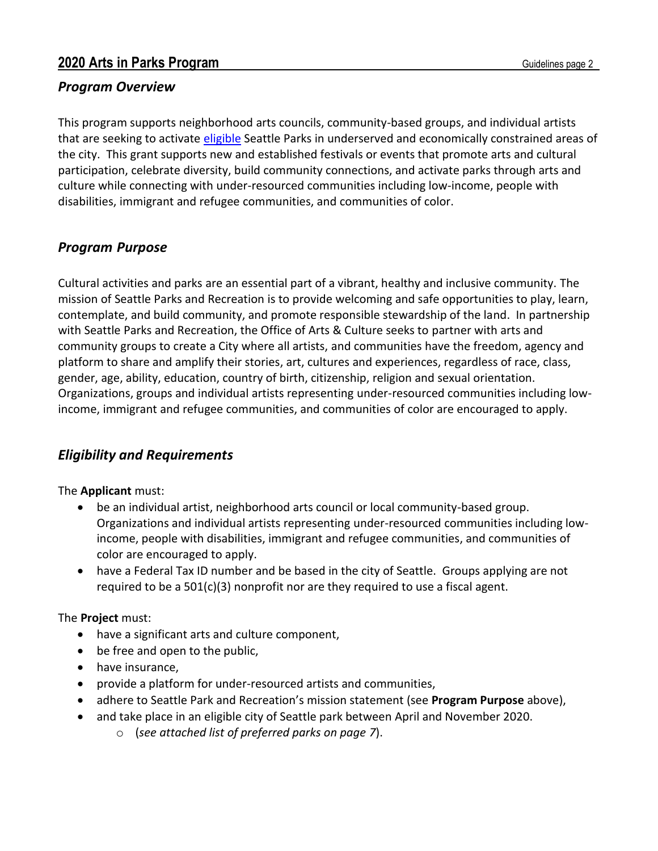### *Program Overview*

This program supports neighborhood arts councils, community-based groups, and individual artists that are seeking to activate [eligible](#page-6-0) Seattle Parks in underserved and economically constrained areas of the city. This grant supports new and established festivals or events that promote arts and cultural participation, celebrate diversity, build community connections, and activate parks through arts and culture while connecting with under-resourced communities including low-income, people with disabilities, immigrant and refugee communities, and communities of color.

### *Program Purpose*

Cultural activities and parks are an essential part of a vibrant, healthy and inclusive community. The mission of Seattle Parks and Recreation is to provide welcoming and safe opportunities to play, learn, contemplate, and build community, and promote responsible stewardship of the land. In partnership with Seattle Parks and Recreation, the Office of Arts & Culture seeks to partner with arts and community groups to create a City where all artists, and communities have the freedom, agency and platform to share and amplify their stories, art, cultures and experiences, regardless of race, class, gender, age, ability, education, country of birth, citizenship, religion and sexual orientation. Organizations, groups and individual artists representing under-resourced communities including lowincome, immigrant and refugee communities, and communities of color are encouraged to apply.

# *Eligibility and Requirements*

The **Applicant** must:

- be an individual artist, neighborhood arts council or local community-based group. Organizations and individual artists representing under-resourced communities including lowincome, people with disabilities, immigrant and refugee communities, and communities of color are encouraged to apply.
- have a Federal Tax ID number and be based in the city of Seattle. Groups applying are not required to be a  $501(c)(3)$  nonprofit nor are they required to use a fiscal agent.

#### The **Project** must:

- have a significant arts and culture component,
- be free and open to the public,
- have insurance,
- provide a platform for under-resourced artists and communities,
- adhere to Seattle Park and Recreation's mission statement (see **Program Purpose** above),
- and take place in an eligible city of Seattle park between April and November 2020.
	- o (*see attached list of preferred parks on page 7*).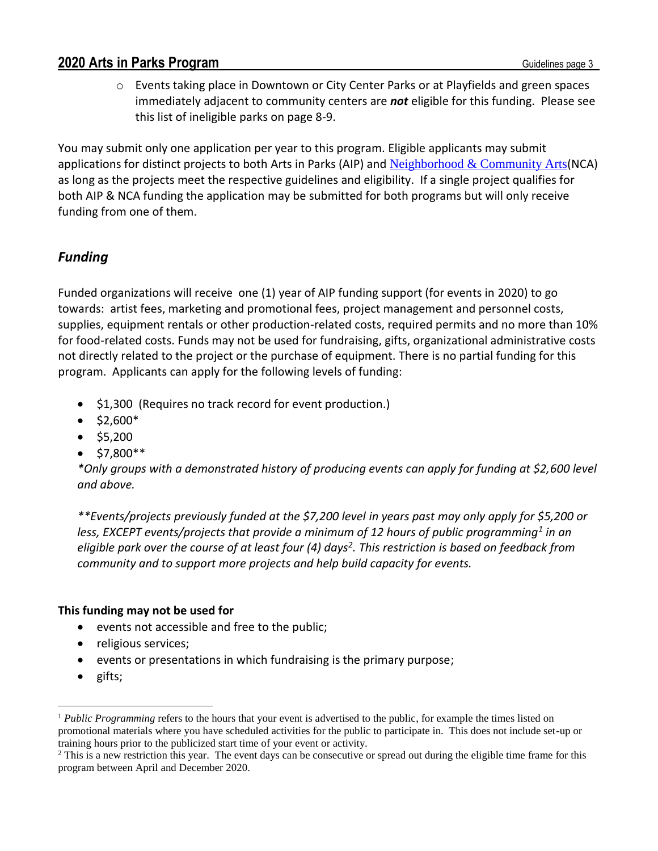o Events taking place in Downtown or City Center Parks or at Playfields and green spaces immediately adjacent to community centers are *not* eligible for this funding. Please see this list of ineligible parks on page 8-9.

You may submit only one application per year to this program. Eligible applicants may submit applications for distinct projects to both Arts in Parks (AIP) and [Neighborhood & Community Arts](http://www.seattle.gov/arts/programs/grants/neighborhood-and-community-arts-grant)(NCA) as long as the projects meet the respective guidelines and eligibility. If a single project qualifies for both AIP & NCA funding the application may be submitted for both programs but will only receive funding from one of them.

# *Funding*

Funded organizations will receive one (1) year of AIP funding support (for events in 2020) to go towards: artist fees, marketing and promotional fees, project management and personnel costs, supplies, equipment rentals or other production-related costs, required permits and no more than 10% for food-related costs. Funds may not be used for fundraising, gifts, organizational administrative costs not directly related to the project or the purchase of equipment. There is no partial funding for this program. Applicants can apply for the following levels of funding:

- \$1,300 (Requires no track record for event production.)
- $•$  \$2,600\*
- $•$  \$5,200
- $•$  \$7,800\*\*

*\*Only groups with a demonstrated history of producing events can apply for funding at \$2,600 level and above.*

*\*\*Events/projects previously funded at the \$7,200 level in years past may only apply for \$5,200 or less, EXCEPT events/projects that provide a minimum of 12 hours of public programming<sup>1</sup> in an eligible park over the course of at least four (4) days<sup>2</sup> . This restriction is based on feedback from community and to support more projects and help build capacity for events.*

### **This funding may not be used for**

- events not accessible and free to the public;
- religious services;
- events or presentations in which fundraising is the primary purpose;
- gifts;

 $\overline{a}$ 

<sup>1</sup> *Public Programming* refers to the hours that your event is advertised to the public, for example the times listed on promotional materials where you have scheduled activities for the public to participate in. This does not include set-up or training hours prior to the publicized start time of your event or activity.

<sup>&</sup>lt;sup>2</sup> This is a new restriction this year. The event days can be consecutive or spread out during the eligible time frame for this program between April and December 2020.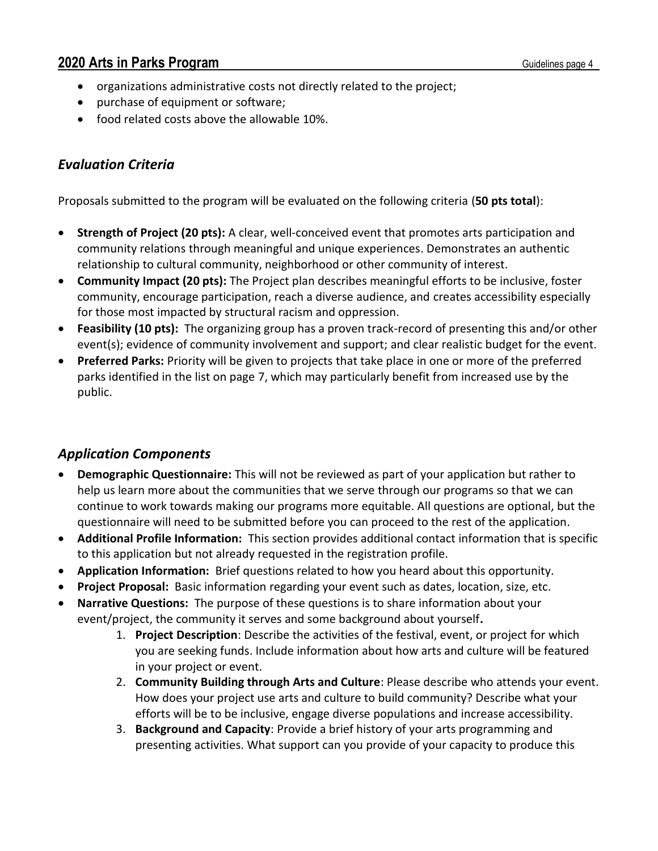- organizations administrative costs not directly related to the project;
- purchase of equipment or software;
- food related costs above the allowable 10%.

# *Evaluation Criteria*

Proposals submitted to the program will be evaluated on the following criteria (**50 pts total**):

- **Strength of Project (20 pts):** A clear, well-conceived event that promotes arts participation and community relations through meaningful and unique experiences. Demonstrates an authentic relationship to cultural community, neighborhood or other community of interest.
- **Community Impact (20 pts):** The Project plan describes meaningful efforts to be inclusive, foster community, encourage participation, reach a diverse audience, and creates accessibility especially for those most impacted by structural racism and oppression.
- **Feasibility (10 pts):** The organizing group has a proven track-record of presenting this and/or other event(s); evidence of community involvement and support; and clear realistic budget for the event.
- **Preferred Parks:** Priority will be given to projects that take place in one or more of the preferred parks identified in the list on page 7, which may particularly benefit from increased use by the public.

### *Application Components*

- **Demographic Questionnaire:** This will not be reviewed as part of your application but rather to help us learn more about the communities that we serve through our programs so that we can continue to work towards making our programs more equitable. All questions are optional, but the questionnaire will need to be submitted before you can proceed to the rest of the application.
- **Additional Profile Information:** This section provides additional contact information that is specific to this application but not already requested in the registration profile.
- **Application Information:** Brief questions related to how you heard about this opportunity.
- **Project Proposal:** Basic information regarding your event such as dates, location, size, etc.
- **Narrative Questions:** The purpose of these questions is to share information about your event/project, the community it serves and some background about yourself**.**
	- 1. **Project Description**: Describe the activities of the festival, event, or project for which you are seeking funds. Include information about how arts and culture will be featured in your project or event.
	- 2. **Community Building through Arts and Culture**: Please describe who attends your event. How does your project use arts and culture to build community? Describe what your efforts will be to be inclusive, engage diverse populations and increase accessibility.
	- 3. **Background and Capacity**: Provide a brief history of your arts programming and presenting activities. What support can you provide of your capacity to produce this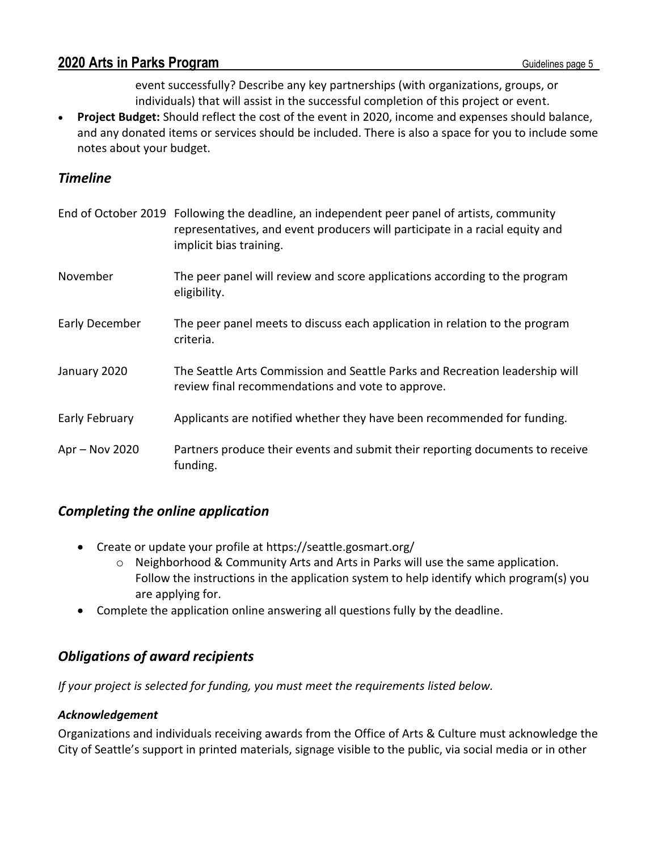event successfully? Describe any key partnerships (with organizations, groups, or individuals) that will assist in the successful completion of this project or event.

• **Project Budget:** Should reflect the cost of the event in 2020, income and expenses should balance, and any donated items or services should be included. There is also a space for you to include some notes about your budget.

### *Timeline*

|                | End of October 2019 Following the deadline, an independent peer panel of artists, community<br>representatives, and event producers will participate in a racial equity and<br>implicit bias training. |
|----------------|--------------------------------------------------------------------------------------------------------------------------------------------------------------------------------------------------------|
| November       | The peer panel will review and score applications according to the program<br>eligibility.                                                                                                             |
| Early December | The peer panel meets to discuss each application in relation to the program<br>criteria.                                                                                                               |
| January 2020   | The Seattle Arts Commission and Seattle Parks and Recreation leadership will<br>review final recommendations and vote to approve.                                                                      |
| Early February | Applicants are notified whether they have been recommended for funding.                                                                                                                                |
| Apr - Nov 2020 | Partners produce their events and submit their reporting documents to receive<br>funding.                                                                                                              |

### *Completing the online application*

- Create or update your profile at https://seattle.gosmart.org/
	- o Neighborhood & Community Arts and Arts in Parks will use the same application. Follow the instructions in the application system to help identify which program(s) you are applying for.
- Complete the application online answering all questions fully by the deadline.

# *Obligations of award recipients*

*If your project is selected for funding, you must meet the requirements listed below.*

### *Acknowledgement*

Organizations and individuals receiving awards from the Office of Arts & Culture must acknowledge the City of Seattle's support in printed materials, signage visible to the public, via social media or in other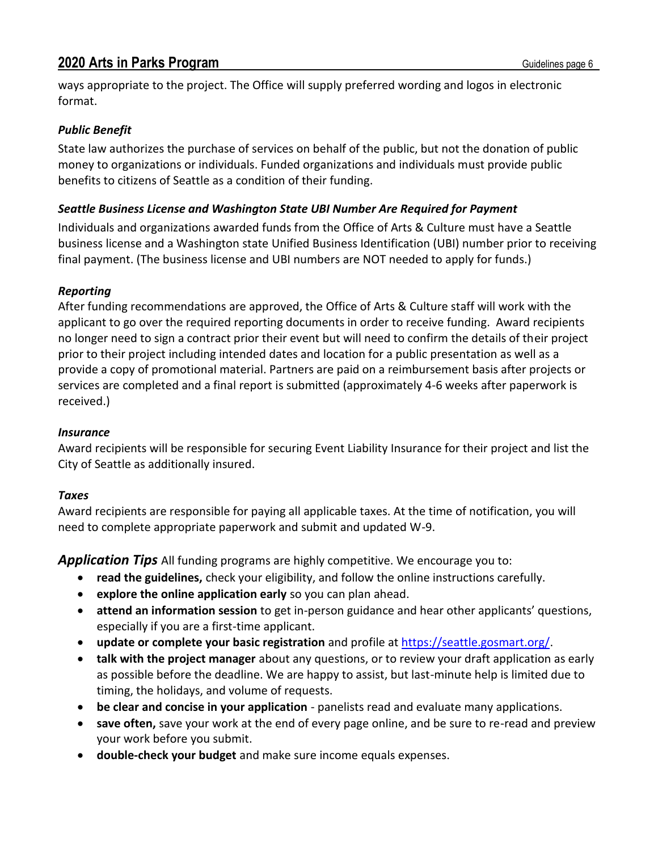ways appropriate to the project. The Office will supply preferred wording and logos in electronic format.

#### *Public Benefit*

State law authorizes the purchase of services on behalf of the public, but not the donation of public money to organizations or individuals. Funded organizations and individuals must provide public benefits to citizens of Seattle as a condition of their funding.

#### *Seattle Business License and Washington State UBI Number Are Required for Payment*

Individuals and organizations awarded funds from the Office of Arts & Culture must have a Seattle business license and a Washington state Unified Business Identification (UBI) number prior to receiving final payment. (The business license and UBI numbers are NOT needed to apply for funds.)

#### *Reporting*

After funding recommendations are approved, the Office of Arts & Culture staff will work with the applicant to go over the required reporting documents in order to receive funding. Award recipients no longer need to sign a contract prior their event but will need to confirm the details of their project prior to their project including intended dates and location for a public presentation as well as a provide a copy of promotional material. Partners are paid on a reimbursement basis after projects or services are completed and a final report is submitted (approximately 4-6 weeks after paperwork is received.)

#### *Insurance*

Award recipients will be responsible for securing Event Liability Insurance for their project and list the City of Seattle as additionally insured.

#### *Taxes*

Award recipients are responsible for paying all applicable taxes. At the time of notification, you will need to complete appropriate paperwork and submit and updated W-9.

*Application Tips* All funding programs are highly competitive. We encourage you to:

- **read the guidelines,** check your eligibility, and follow the online instructions carefully.
- **explore the online application early** so you can plan ahead.
- **attend an information session** to get in-person guidance and hear other applicants' questions, especially if you are a first-time applicant.
- **update or complete your basic registration** and profile at [https://seattle.gosmart.org/.](https://seattle.gosmart.org/)
- **talk with the project manager** about any questions, or to review your draft application as early as possible before the deadline. We are happy to assist, but last-minute help is limited due to timing, the holidays, and volume of requests.
- **be clear and concise in your application** panelists read and evaluate many applications.
- **save often,** save your work at the end of every page online, and be sure to re-read and preview your work before you submit.
- **double-check your budget** and make sure income equals expenses.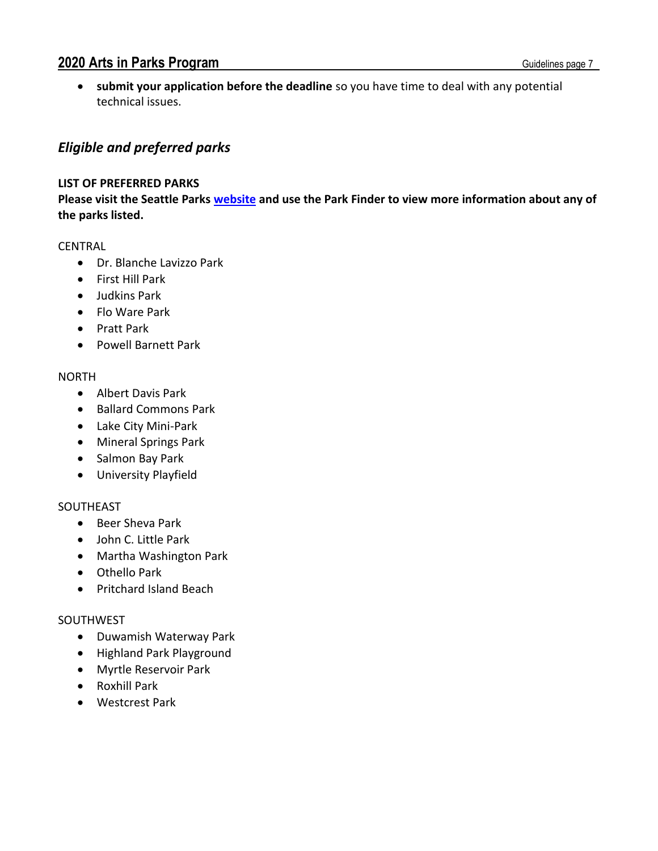• **submit your application before the deadline** so you have time to deal with any potential technical issues.

## <span id="page-6-0"></span>*Eligible and preferred parks*

#### **LIST OF PREFERRED PARKS**

**Please visit the Seattle Parks [website](http://www.seattle.gov/parks/find) and use the Park Finder to view more information about any of the parks listed.**

#### CENTRAL

- Dr. Blanche Lavizzo Park
- First Hill Park
- Judkins Park
- Flo Ware Park
- Pratt Park
- Powell Barnett Park

#### NORTH

- Albert Davis Park
- Ballard Commons Park
- Lake City Mini-Park
- Mineral Springs Park
- Salmon Bay Park
- University Playfield

#### SOUTHEAST

- Beer Sheva Park
- John C. Little Park
- Martha Washington Park
- Othello Park
- Pritchard Island Beach

#### SOUTHWEST

- Duwamish Waterway Park
- Highland Park Playground
- Myrtle Reservoir Park
- Roxhill Park
- Westcrest Park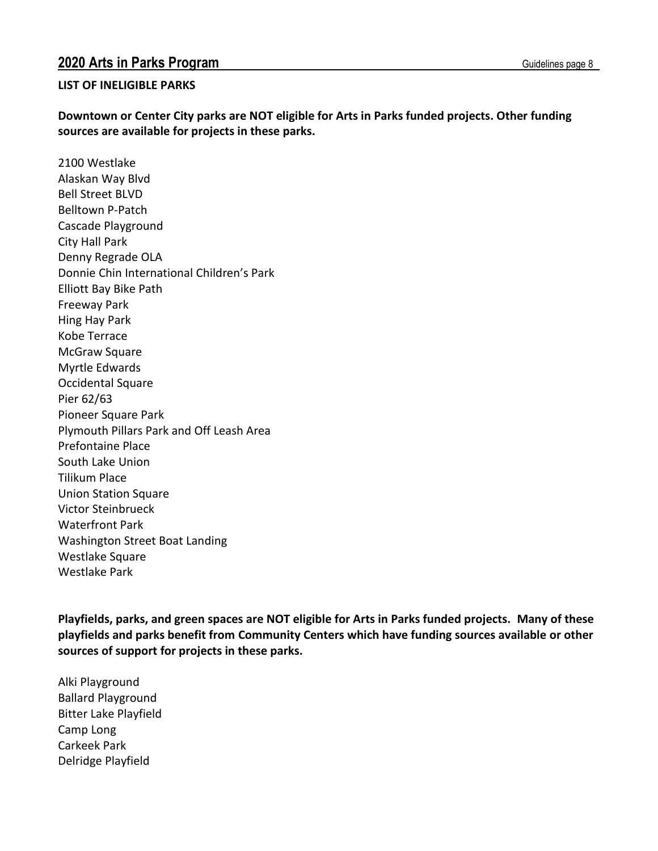#### **LIST OF INELIGIBLE PARKS**

**Downtown or Center City parks are NOT eligible for Arts in Parks funded projects. Other funding sources are available for projects in these parks.**

2100 Westlake Alaskan Way Blvd Bell Street BLVD Belltown P-Patch Cascade Playground City Hall Park Denny Regrade OLA Donnie Chin International Children's Park Elliott Bay Bike Path Freeway Park Hing Hay Park Kobe Terrace McGraw Square Myrtle Edwards Occidental Square Pier 62/63 Pioneer Square Park Plymouth Pillars Park and Off Leash Area Prefontaine Place South Lake Union Tilikum Place Union Station Square Victor Steinbrueck Waterfront Park Washington Street Boat Landing Westlake Square Westlake Park

**Playfields, parks, and green spaces are NOT eligible for Arts in Parks funded projects. Many of these playfields and parks benefit from Community Centers which have funding sources available or other sources of support for projects in these parks.**

Alki Playground Ballard Playground Bitter Lake Playfield Camp Long Carkeek Park Delridge Playfield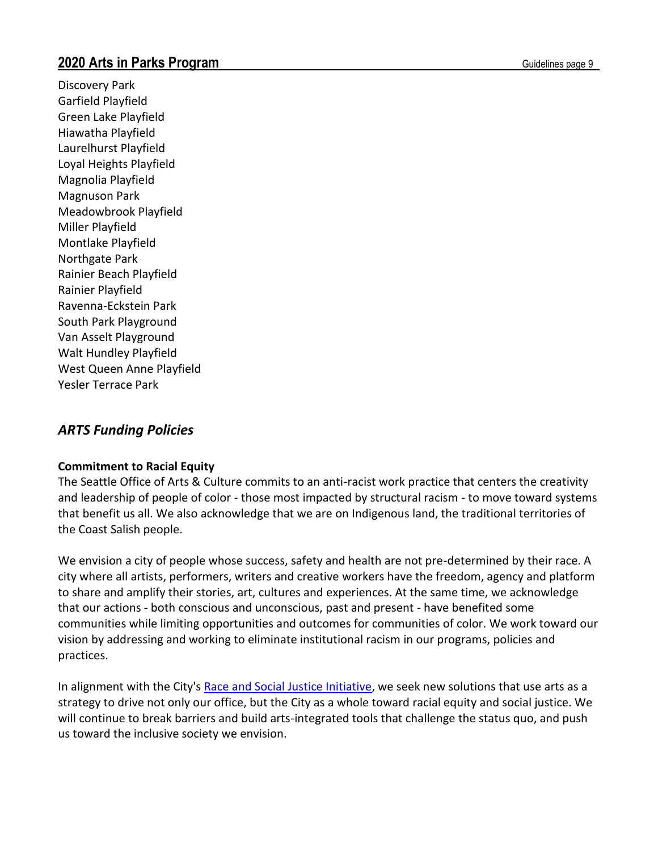Discovery Park Garfield Playfield Green Lake Playfield Hiawatha Playfield Laurelhurst Playfield Loyal Heights Playfield Magnolia Playfield Magnuson Park Meadowbrook Playfield Miller Playfield Montlake Playfield Northgate Park Rainier Beach Playfield Rainier Playfield Ravenna-Eckstein Park South Park Playground Van Asselt Playground Walt Hundley Playfield West Queen Anne Playfield Yesler Terrace Park

# *ARTS Funding Policies*

### **Commitment to Racial Equity**

The Seattle Office of Arts & Culture commits to an anti-racist work practice that centers the creativity and leadership of people of color - those most impacted by structural racism - to move toward systems that benefit us all. We also acknowledge that we are on Indigenous land, the traditional territories of the Coast Salish people.

We envision a city of people whose success, safety and health are not pre-determined by their race. A city where all artists, performers, writers and creative workers have the freedom, agency and platform to share and amplify their stories, art, cultures and experiences. At the same time, we acknowledge that our actions - both conscious and unconscious, past and present - have benefited some communities while limiting opportunities and outcomes for communities of color. We work toward our vision by addressing and working to eliminate institutional racism in our programs, policies and practices.

In alignment with the City's [Race and Social Justice Initiative,](http://www.seattle.gov/rsji) we seek new solutions that use arts as a strategy to drive not only our office, but the City as a whole toward racial equity and social justice. We will continue to break barriers and build arts-integrated tools that challenge the status quo, and push us toward the inclusive society we envision.